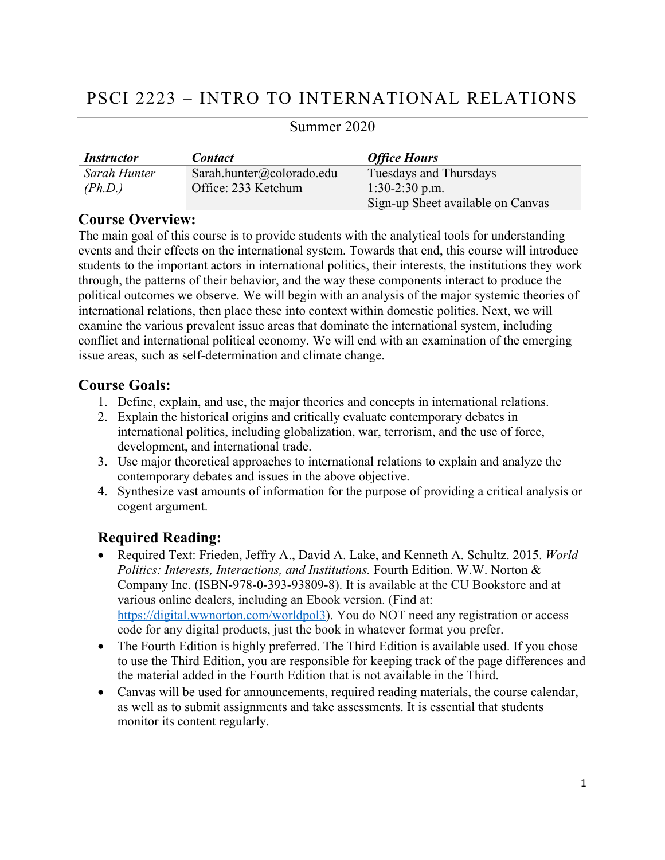# PSCI 2223 – INTRO TO INTERNATIONAL RELATIONS

| <i><b>Instructor</b></i> | <b>Contact</b>            | <b>Office Hours</b>               |
|--------------------------|---------------------------|-----------------------------------|
| Sarah Hunter             | Sarah.hunter@colorado.edu | Tuesdays and Thursdays            |
| (Ph.D.)                  | Office: 233 Ketchum       | $1:30-2:30$ p.m.                  |
|                          |                           | Sign-up Sheet available on Canvas |

# Summer 2020

# **Course Overview:**

The main goal of this course is to provide students with the analytical tools for understanding events and their effects on the international system. Towards that end, this course will introduce students to the important actors in international politics, their interests, the institutions they work through, the patterns of their behavior, and the way these components interact to produce the political outcomes we observe. We will begin with an analysis of the major systemic theories of international relations, then place these into context within domestic politics. Next, we will examine the various prevalent issue areas that dominate the international system, including conflict and international political economy. We will end with an examination of the emerging issue areas, such as self-determination and climate change.

# **Course Goals:**

- 1. Define, explain, and use, the major theories and concepts in international relations.
- 2. Explain the historical origins and critically evaluate contemporary debates in international politics, including globalization, war, terrorism, and the use of force, development, and international trade.
- 3. Use major theoretical approaches to international relations to explain and analyze the contemporary debates and issues in the above objective.
- 4. Synthesize vast amounts of information for the purpose of providing a critical analysis or cogent argument.

# **Required Reading:**

- Required Text: Frieden, Jeffry A., David A. Lake, and Kenneth A. Schultz. 2015. *World Politics: Interests, Interactions, and Institutions.* Fourth Edition. W.W. Norton & Company Inc. (ISBN-978-0-393-93809-8). It is available at the CU Bookstore and at various online dealers, including an Ebook version. (Find at: https://digital.wwnorton.com/worldpol3). You do NOT need any registration or access code for any digital products, just the book in whatever format you prefer.
- The Fourth Edition is highly preferred. The Third Edition is available used. If you chose to use the Third Edition, you are responsible for keeping track of the page differences and the material added in the Fourth Edition that is not available in the Third.
- Canvas will be used for announcements, required reading materials, the course calendar, as well as to submit assignments and take assessments. It is essential that students monitor its content regularly.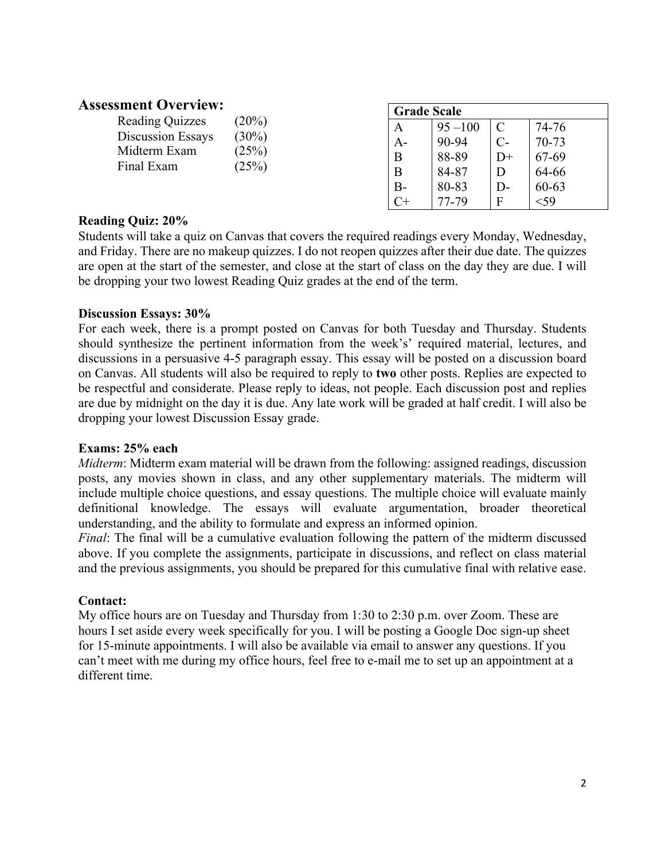# **Assessment Overview:**

| SHIEIIL OVEI VIEW.         |                | <b>Grade Scale</b> |            |      |           |
|----------------------------|----------------|--------------------|------------|------|-----------|
| <b>Reading Quizzes</b>     | (20%)          | A                  | $95 - 100$ |      | 74-76     |
| Discussion Essays          | $(30\%)$       | A-                 | 90-94      |      | $70 - 73$ |
| Midterm Exam<br>Final Exam | (25%)<br>(25%) | B                  | 88-89      | $D+$ | 67-69     |
|                            |                | B                  | 84-87      |      | 64-66     |
|                            |                | $B -$              | 80-83      | $D-$ | $60 - 63$ |
|                            |                |                    | 77-79      | F    | $<$ 59    |
|                            |                |                    |            |      |           |

### **Reading Quiz: 20%**

Students will take a quiz on Canvas that covers the required readings every Monday, Wednesday, and Friday. There are no makeup quizzes. I do not reopen quizzes after their due date. The quizzes are open at the start of the semester, and close at the start of class on the day they are due. I will be dropping your two lowest Reading Quiz grades at the end of the term.

#### **Discussion Essays: 30%**

For each week, there is a prompt posted on Canvas for both Tuesday and Thursday. Students should synthesize the pertinent information from the week's' required material, lectures, and discussions in a persuasive 4-5 paragraph essay. This essay will be posted on a discussion board on Canvas. All students will also be required to reply to **two** other posts. Replies are expected to be respectful and considerate. Please reply to ideas, not people. Each discussion post and replies are due by midnight on the day it is due. Any late work will be graded at half credit. I will also be dropping your lowest Discussion Essay grade.

#### **Exams: 25% each**

*Midterm*: Midterm exam material will be drawn from the following: assigned readings, discussion posts, any movies shown in class, and any other supplementary materials. The midterm will include multiple choice questions, and essay questions. The multiple choice will evaluate mainly definitional knowledge. The essays will evaluate argumentation, broader theoretical understanding, and the ability to formulate and express an informed opinion.

*Final*: The final will be a cumulative evaluation following the pattern of the midterm discussed above. If you complete the assignments, participate in discussions, and reflect on class material and the previous assignments, you should be prepared for this cumulative final with relative ease.

#### **Contact:**

My office hours are on Tuesday and Thursday from 1:30 to 2:30 p.m. over Zoom. These are hours I set aside every week specifically for you. I will be posting a Google Doc sign-up sheet for 15-minute appointments. I will also be available via email to answer any questions. If you can't meet with me during my office hours, feel free to e-mail me to set up an appointment at a different time.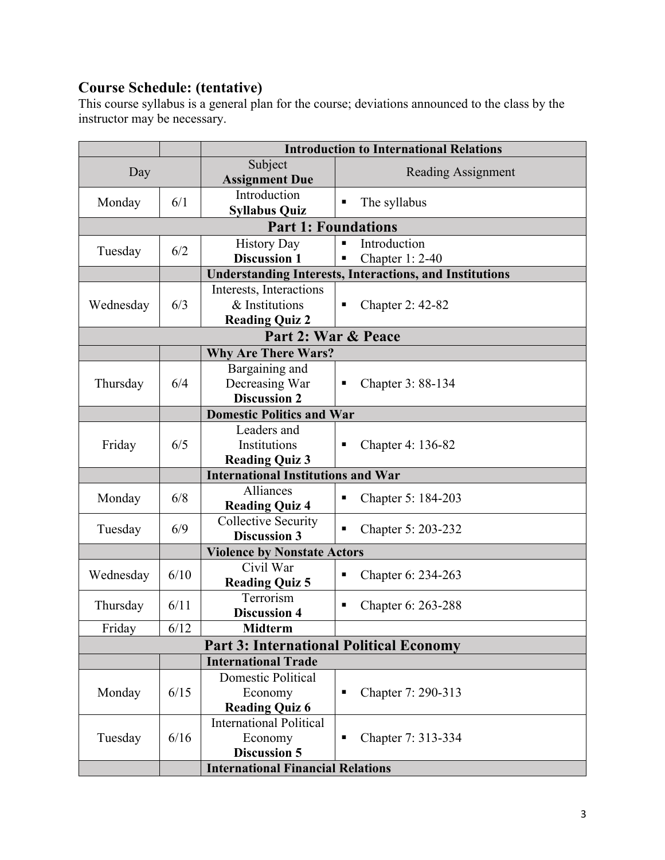# **Course Schedule: (tentative)**

This course syllabus is a general plan for the course; deviations announced to the class by the instructor may be necessary.

|                                                                |              | <b>Introduction to International Relations</b>          |                           |  |
|----------------------------------------------------------------|--------------|---------------------------------------------------------|---------------------------|--|
|                                                                |              | Subject                                                 | <b>Reading Assignment</b> |  |
| Day                                                            |              | <b>Assignment Due</b>                                   |                           |  |
| Monday                                                         | 6/1          | Introduction                                            | The syllabus<br>п         |  |
|                                                                |              | <b>Syllabus Quiz</b>                                    |                           |  |
|                                                                |              | <b>Part 1: Foundations</b>                              |                           |  |
| Tuesday                                                        | 6/2          | <b>History Day</b>                                      | Introduction<br>Π         |  |
|                                                                |              | <b>Discussion 1</b>                                     | Chapter 1: 2-40           |  |
| <b>Understanding Interests, Interactions, and Institutions</b> |              |                                                         |                           |  |
| Wednesday                                                      |              | Interests, Interactions                                 |                           |  |
|                                                                | 6/3          | & Institutions                                          | <b>Chapter 2: 42-82</b>   |  |
|                                                                |              | <b>Reading Quiz 2</b>                                   |                           |  |
| Part 2: War & Peace                                            |              |                                                         |                           |  |
|                                                                |              | <b>Why Are There Wars?</b>                              |                           |  |
|                                                                |              | Bargaining and                                          |                           |  |
| Thursday                                                       | 6/4          | Decreasing War                                          | Chapter 3: 88-134         |  |
|                                                                |              | <b>Discussion 2</b>                                     |                           |  |
|                                                                |              | <b>Domestic Politics and War</b>                        |                           |  |
|                                                                |              | Leaders and                                             |                           |  |
| Friday                                                         | 6/5          | Institutions                                            | Chapter 4: 136-82         |  |
|                                                                |              | <b>Reading Quiz 3</b>                                   |                           |  |
| <b>International Institutions and War</b>                      |              |                                                         |                           |  |
| Monday                                                         | 6/8          | Alliances                                               | Chapter 5: 184-203        |  |
|                                                                |              | <b>Reading Quiz 4</b>                                   |                           |  |
| Tuesday                                                        | 6/9          | <b>Collective Security</b>                              | Chapter 5: 203-232        |  |
|                                                                |              | <b>Discussion 3</b>                                     |                           |  |
|                                                                |              | <b>Violence by Nonstate Actors</b>                      |                           |  |
| Wednesday                                                      | 6/10         | Civil War                                               | Chapter 6: 234-263        |  |
|                                                                |              | <b>Reading Quiz 5</b>                                   |                           |  |
| Thursday                                                       | 6/11         | Terrorism                                               | Chapter 6: 263-288        |  |
|                                                                | $6/12$       | <b>Discussion 4</b>                                     |                           |  |
| Friday                                                         |              | <b>Midterm</b>                                          |                           |  |
| <b>Part 3: International Political Economy</b>                 |              |                                                         |                           |  |
|                                                                |              | <b>International Trade</b><br><b>Domestic Political</b> |                           |  |
| Monday                                                         | 6/15<br>6/16 |                                                         |                           |  |
|                                                                |              | Economy                                                 | Chapter 7: 290-313        |  |
|                                                                |              | <b>Reading Quiz 6</b>                                   |                           |  |
| Tuesday                                                        |              | <b>International Political</b>                          |                           |  |
|                                                                |              | Economy                                                 | Chapter 7: 313-334<br>п   |  |
|                                                                |              | <b>Discussion 5</b>                                     |                           |  |
|                                                                |              | <b>International Financial Relations</b>                |                           |  |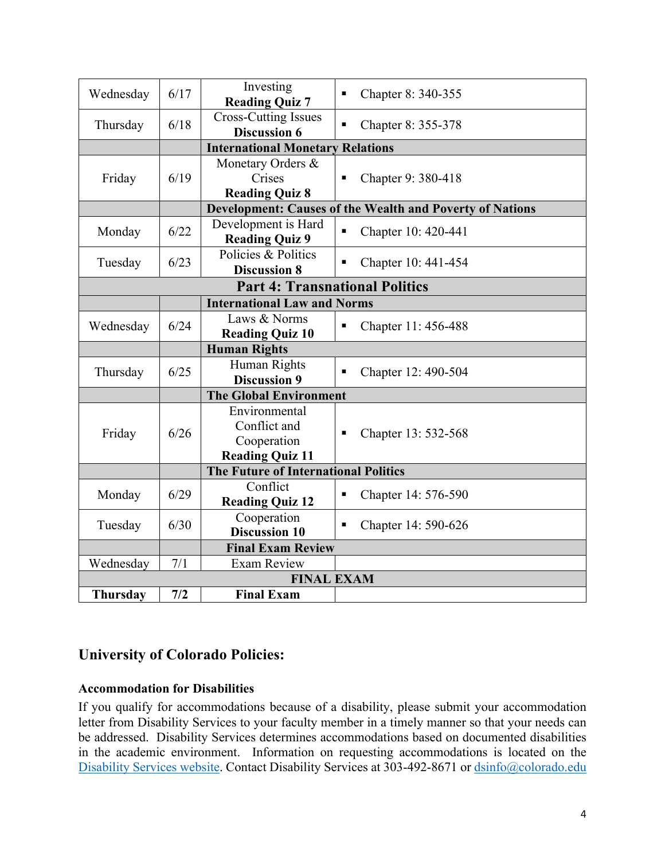| Wednesday                             | 6/17 | Investing<br><b>Reading Quiz 7</b>                                     | Chapter 8: 340-355<br>٠                                         |  |
|---------------------------------------|------|------------------------------------------------------------------------|-----------------------------------------------------------------|--|
| Thursday                              | 6/18 | <b>Cross-Cutting Issues</b><br><b>Discussion 6</b>                     | Chapter 8: 355-378<br>٠                                         |  |
|                                       |      | <b>International Monetary Relations</b>                                |                                                                 |  |
| Friday                                | 6/19 | Monetary Orders &<br>Crises<br><b>Reading Quiz 8</b>                   | Chapter 9: 380-418                                              |  |
|                                       |      |                                                                        | <b>Development: Causes of the Wealth and Poverty of Nations</b> |  |
| Monday                                | 6/22 | Development is Hard<br><b>Reading Quiz 9</b>                           | Chapter 10: 420-441                                             |  |
| Tuesday                               | 6/23 | Policies & Politics<br><b>Discussion 8</b>                             | Chapter 10: 441-454                                             |  |
| <b>Part 4: Transnational Politics</b> |      |                                                                        |                                                                 |  |
|                                       |      | <b>International Law and Norms</b>                                     |                                                                 |  |
| Wednesday                             | 6/24 | Laws & Norms<br><b>Reading Quiz 10</b>                                 | Chapter 11: 456-488<br>Π                                        |  |
|                                       |      | <b>Human Rights</b>                                                    |                                                                 |  |
| Thursday                              | 6/25 | Human Rights<br><b>Discussion 9</b>                                    | Chapter 12: 490-504                                             |  |
| <b>The Global Environment</b>         |      |                                                                        |                                                                 |  |
| Friday                                | 6/26 | Environmental<br>Conflict and<br>Cooperation<br><b>Reading Quiz 11</b> | Chapter 13: 532-568<br>п                                        |  |
|                                       |      | The Future of International Politics                                   |                                                                 |  |
| Monday                                | 6/29 | Conflict<br><b>Reading Quiz 12</b>                                     | Chapter 14: 576-590<br>Ξ                                        |  |
| Tuesday                               | 6/30 | Cooperation<br><b>Discussion 10</b>                                    | Chapter 14: 590-626<br>Π                                        |  |
|                                       |      | <b>Final Exam Review</b>                                               |                                                                 |  |
| Wednesday                             | 7/1  | <b>Exam Review</b>                                                     |                                                                 |  |
| <b>FINAL EXAM</b>                     |      |                                                                        |                                                                 |  |
| <b>Thursday</b>                       | 7/2  | <b>Final Exam</b>                                                      |                                                                 |  |

# **University of Colorado Policies:**

### **Accommodation for Disabilities**

If you qualify for accommodations because of a disability, please submit your accommodation letter from Disability Services to your faculty member in a timely manner so that your needs can be addressed. Disability Services determines accommodations based on documented disabilities in the academic environment. Information on requesting accommodations is located on the Disability Services website. Contact Disability Services at 303-492-8671 or  $\frac{d \sin 6(\partial \theta) \cosh 2\theta}{d \sin 6(\partial \theta)}$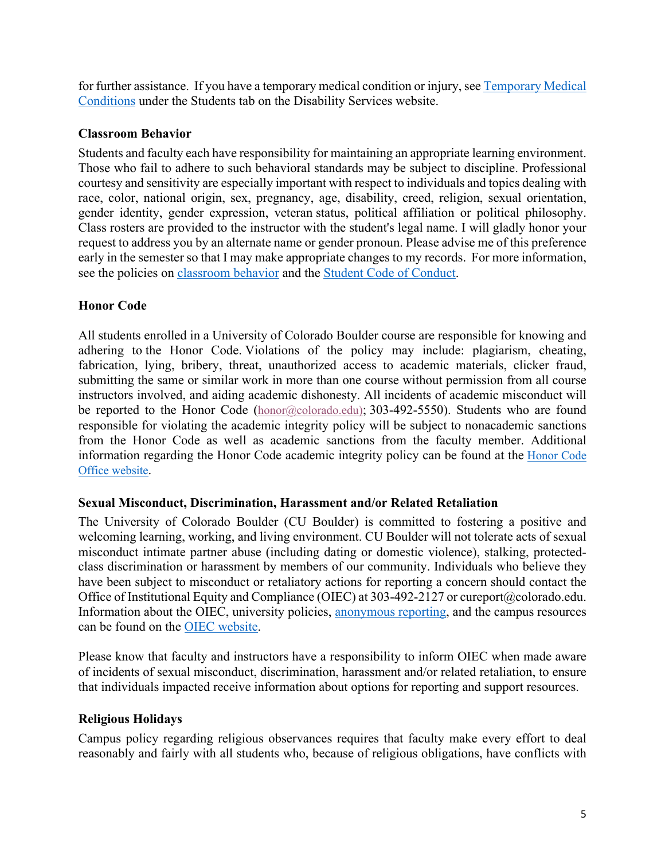for further assistance. If you have a temporary medical condition or injury, see Temporary Medical Conditions under the Students tab on the Disability Services website.

### **Classroom Behavior**

Students and faculty each have responsibility for maintaining an appropriate learning environment. Those who fail to adhere to such behavioral standards may be subject to discipline. Professional courtesy and sensitivity are especially important with respect to individuals and topics dealing with race, color, national origin, sex, pregnancy, age, disability, creed, religion, sexual orientation, gender identity, gender expression, veteran status, political affiliation or political philosophy. Class rosters are provided to the instructor with the student's legal name. I will gladly honor your request to address you by an alternate name or gender pronoun. Please advise me of this preference early in the semester so that I may make appropriate changes to my records. For more information, see the policies on classroom behavior and the Student Code of Conduct.

# **Honor Code**

All students enrolled in a University of Colorado Boulder course are responsible for knowing and adhering to the Honor Code. Violations of the policy may include: plagiarism, cheating, fabrication, lying, bribery, threat, unauthorized access to academic materials, clicker fraud, submitting the same or similar work in more than one course without permission from all course instructors involved, and aiding academic dishonesty. All incidents of academic misconduct will be reported to the Honor Code (honor@colorado.edu); 303-492-5550). Students who are found responsible for violating the academic integrity policy will be subject to nonacademic sanctions from the Honor Code as well as academic sanctions from the faculty member. Additional information regarding the Honor Code academic integrity policy can be found at the Honor Code Office website.

### **Sexual Misconduct, Discrimination, Harassment and/or Related Retaliation**

The University of Colorado Boulder (CU Boulder) is committed to fostering a positive and welcoming learning, working, and living environment. CU Boulder will not tolerate acts of sexual misconduct intimate partner abuse (including dating or domestic violence), stalking, protectedclass discrimination or harassment by members of our community. Individuals who believe they have been subject to misconduct or retaliatory actions for reporting a concern should contact the Office of Institutional Equity and Compliance (OIEC) at 303-492-2127 or cureport@colorado.edu. Information about the OIEC, university policies, anonymous reporting, and the campus resources can be found on the OIEC website.

Please know that faculty and instructors have a responsibility to inform OIEC when made aware of incidents of sexual misconduct, discrimination, harassment and/or related retaliation, to ensure that individuals impacted receive information about options for reporting and support resources.

### **Religious Holidays**

Campus policy regarding religious observances requires that faculty make every effort to deal reasonably and fairly with all students who, because of religious obligations, have conflicts with